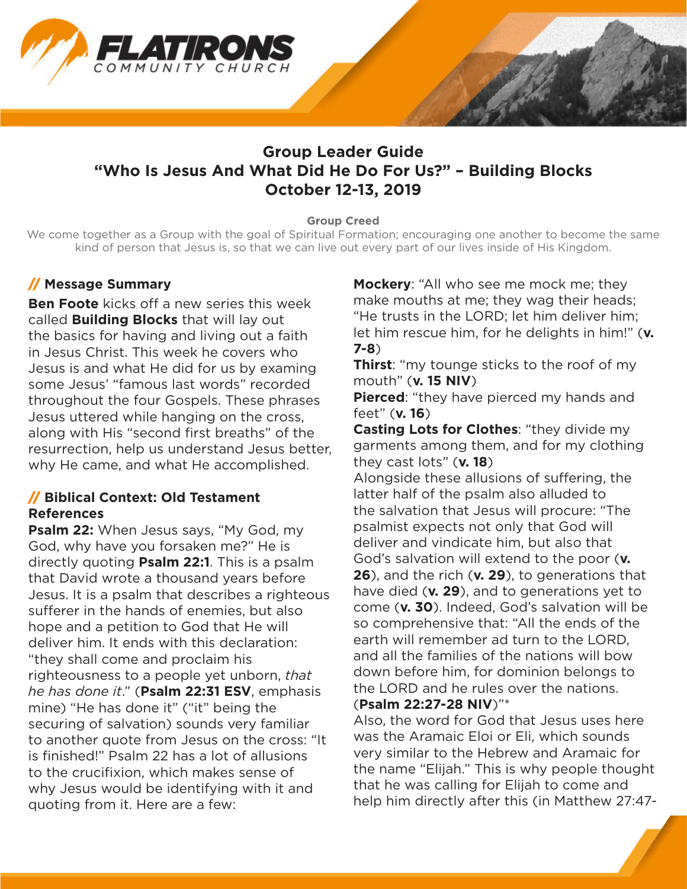

# **Group Leader Guide "Who Is Jesus And What Did He Do For Us?" – Building Blocks October 12-13, 2019**

#### **Group Creed**

We come together as a Group with the goal of Spiritual Formation; encouraging one another to become the same kind of person that Jesus is, so that we can live out every part of our lives inside of His Kingdom.

### // **Message Summary**

**Ben Foote** kicks off a new series this week called **Building Blocks** that will lay out the basics for having and living out a faith in Jesus Christ. This week he covers who Jesus is and what He did for us by examing some Jesus' "famous last words" recorded throughout the four Gospels. These phrases Jesus uttered while hanging on the cross, along with His "second first breaths" of the resurrection, help us understand Jesus better, why He came, and what He accomplished.

### // **Biblical Context: Old Testament References**

**Psalm 22:** When Jesus says, "My God, my God, why have you forsaken me?" He is directly quoting **Psalm 22:1**. This is a psalm that David wrote a thousand years before Jesus. It is a psalm that describes a righteous sufferer in the hands of enemies, but also hope and a petition to God that He will deliver him. It ends with this declaration: "they shall come and proclaim his righteousness to a people yet unborn, *that he has done it*." (**Psalm 22:31 ESV**, emphasis mine) "He has done it" ("it" being the securing of salvation) sounds very familiar to another quote from Jesus on the cross: "It is finished!" Psalm 22 has a lot of allusions to the crucifixion, which makes sense of why Jesus would be identifying with it and quoting from it. Here are a few:

**Mockery**: "All who see me mock me; they make mouths at me; they wag their heads; "He trusts in the LORD; let him deliver him; let him rescue him, for he delights in him!" (**v. 7-8**)

**Thirst**: "my tounge sticks to the roof of my mouth" (**v. 15 NIV**)

**Pierced:** "they have pierced my hands and feet" (**v. 16**)

**Casting Lots for Clothes**: "they divide my garments among them, and for my clothing they cast lots" (**v. 18**)

Alongside these allusions of suffering, the latter half of the psalm also alluded to the salvation that Jesus will procure: "The psalmist expects not only that God will deliver and vindicate him, but also that God's salvation will extend to the poor (**v. 26**), and the rich (**v. 29**), to generations that have died (**v. 29**), and to generations yet to come (**v. 30**). Indeed, God's salvation will be so comprehensive that: "All the ends of the earth will remember ad turn to the LORD, and all the families of the nations will bow down before him, for dominion belongs to the LORD and he rules over the nations. (**Psalm 22:27-28 NIV**)"\*

Also, the word for God that Jesus uses here was the Aramaic Eloi or Eli, which sounds very similar to the Hebrew and Aramaic for the name "Elijah." This is why people thought that he was calling for Elijah to come and help him directly after this (in Matthew 27:47-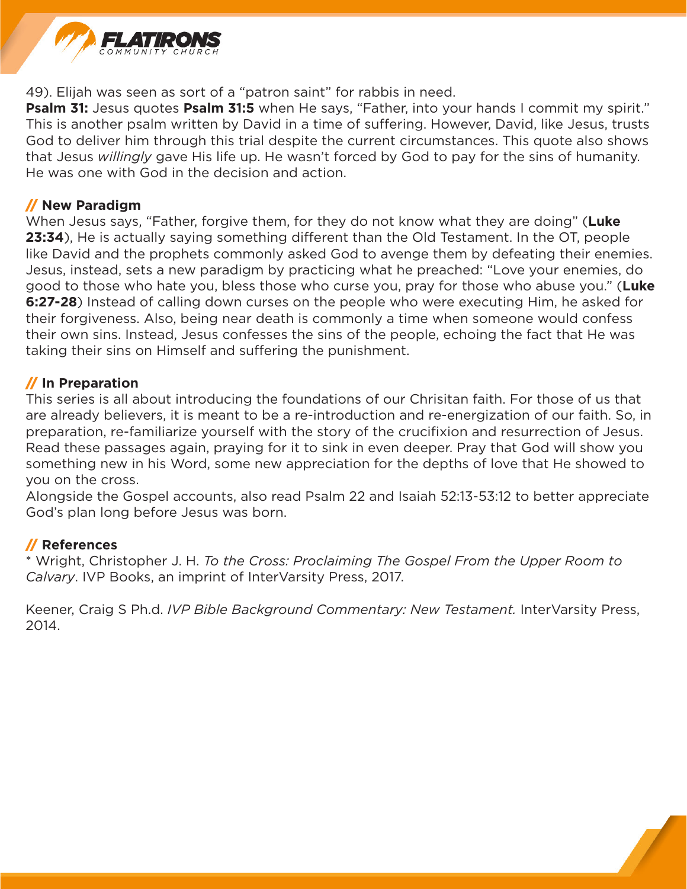

49). Elijah was seen as sort of a "patron saint" for rabbis in need.

**Psalm 31:** Jesus quotes Psalm 31:5 when He says, "Father, into your hands I commit my spirit." This is another psalm written by David in a time of suffering. However, David, like Jesus, trusts God to deliver him through this trial despite the current circumstances. This quote also shows that Jesus *willingly* gave His life up. He wasn't forced by God to pay for the sins of humanity. He was one with God in the decision and action.

### // **New Paradigm**

When Jesus says, "Father, forgive them, for they do not know what they are doing" (**Luke 23:34**), He is actually saying something different than the Old Testament. In the OT, people like David and the prophets commonly asked God to avenge them by defeating their enemies. Jesus, instead, sets a new paradigm by practicing what he preached: "Love your enemies, do good to those who hate you, bless those who curse you, pray for those who abuse you." (**Luke 6:27-28**) Instead of calling down curses on the people who were executing Him, he asked for their forgiveness. Also, being near death is commonly a time when someone would confess their own sins. Instead, Jesus confesses the sins of the people, echoing the fact that He was taking their sins on Himself and suffering the punishment.

### // **In Preparation**

This series is all about introducing the foundations of our Chrisitan faith. For those of us that are already believers, it is meant to be a re-introduction and re-energization of our faith. So, in preparation, re-familiarize yourself with the story of the crucifixion and resurrection of Jesus. Read these passages again, praying for it to sink in even deeper. Pray that God will show you something new in his Word, some new appreciation for the depths of love that He showed to you on the cross.

Alongside the Gospel accounts, also read Psalm 22 and Isaiah 52:13-53:12 to better appreciate God's plan long before Jesus was born.

### // **References**

\* Wright, Christopher J. H. *To the Cross: Proclaiming The Gospel From the Upper Room to Calvary*. IVP Books, an imprint of InterVarsity Press, 2017.

Keener, Craig S Ph.d. *IVP Bible Background Commentary: New Testament.* InterVarsity Press, 2014.